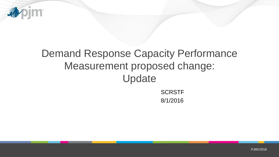

# Demand Response Capacity Performance Measurement proposed change: Update

**SCRSTF** 8/1/2016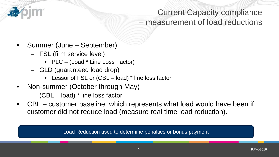

#### Current Capacity compliance – measurement of load reductions

- Summer (June September)
	- FSL (firm service level)
		- PLC (Load \* Line Loss Factor)
	- GLD (guaranteed load drop)
		- Lessor of FSL or (CBL load) \* line loss factor
- Non-summer (October through May)
	- (CBL load) \* line loss factor
- CBL customer baseline, which represents what load would have been if customer did not reduce load (measure real time load reduction).

Load Reduction used to determine penalties or bonus payment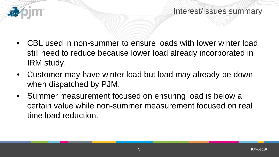

- CBL used in non-summer to ensure loads with lower winter load still need to reduce because lower load already incorporated in IRM study.
- Customer may have winter load but load may already be down when dispatched by PJM.
- Summer measurement focused on ensuring load is below a certain value while non-summer measurement focused on real time load reduction.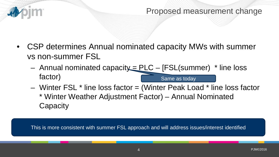

#### Proposed measurement change

- CSP determines Annual nominated capacity MWs with summer vs non-summer FSL
	- $-$  Annual nominated capacity = PLC [FSL(summer)  $*$  line loss factor) Same as today
	- Winter FSL \* line loss factor = (Winter Peak Load \* line loss factor \* Winter Weather Adjustment Factor) – Annual Nominated **Capacity**

This is more consistent with summer FSL approach and will address issues/interest identified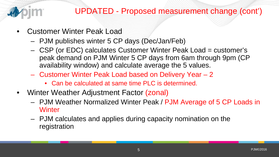

### UPDATED - Proposed measurement change (cont')

- Customer Winter Peak Load
	- PJM publishes winter 5 CP days (Dec/Jan/Feb)
	- CSP (or EDC) calculates Customer Winter Peak Load = customer's peak demand on PJM Winter 5 CP days from 6am through 9pm (CP availability window) and calculate average the 5 values.
	- Customer Winter Peak Load based on Delivery Year 2
		- Can be calculated at same time PLC is determined.
- Winter Weather Adjustment Factor (zonal)
	- PJM Weather Normalized Winter Peak / PJM Average of 5 CP Loads in **Winter**
	- PJM calculates and applies during capacity nomination on the registration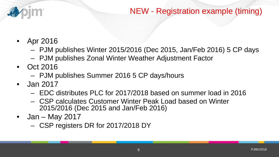

### NEW - Registration example (timing)

- Apr 2016
	- PJM publishes Winter 2015/2016 (Dec 2015, Jan/Feb 2016) 5 CP days
	- PJM publishes Zonal Winter Weather Adjustment Factor
- Oct 2016
	- PJM publishes Summer 2016 5 CP days/hours
- Jan 2017
	- EDC distributes PLC for 2017/2018 based on summer load in 2016
	- CSP calculates Customer Winter Peak Load based on Winter 2015/2016 (Dec 2015 and Jan/Feb 2016)
- Jan May 2017
	- CSP registers DR for 2017/2018 DY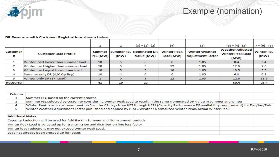## Example (nomination)

|                      | DR Resource with Customer Registrations shown below |                           |          |                                              |                                 |                                                   |                                                            |                           |
|----------------------|-----------------------------------------------------|---------------------------|----------|----------------------------------------------|---------------------------------|---------------------------------------------------|------------------------------------------------------------|---------------------------|
|                      |                                                     | 1                         | 2        | $(3) = (1) - (2)$                            | (4)                             | (5)                                               | $(6) = (4) * (5)$                                          | $7 = (6) - (3)$           |
| <b>Customer</b><br># | <b>Customer Load Profile</b>                        | <b>Summer</b><br> PLC(MW) | (MW)     | <b>Summer FSL Nominated DR</b><br>Value (MW) | <b>Winter Peak</b><br>Load (MW) | <b>Winter Weather</b><br><b>Adjustment Factor</b> | <b>Weather Adjusted</b><br><b>Winter Peak Load</b><br>(MW) | <b>Winter FSL</b><br>(MW) |
|                      | Winter load lower than summer load                  | 10 <sup>°</sup>           |          |                                              | 8                               | 1.05                                              | 8.4                                                        | 3.4                       |
|                      | Winter load higher than summer load                 | 10                        |          |                                              | 12                              | 1.05                                              | 12.6                                                       | 7.6                       |
| з                    | Winter load equal to summer load                    | 10                        |          |                                              | 10 <sup>°</sup>                 | 1.05                                              | 10.5                                                       | 5.5                       |
| 4                    | Summer only DR (A/C Cycling)                        | 10                        |          | 6                                            | 6                               | 1.05                                              | 6.3                                                        | 0.3                       |
| 5                    | Winter only DR (Ski Load)                           |                           | $\Omega$ |                                              | 12 <sup>7</sup>                 | 1.05                                              | 12.6                                                       | 11.6                      |
| Resource             |                                                     | 41                        | 19       | 22                                           |                                 |                                                   | 50.4                                                       | 28.4                      |

**Apjm** 

| Column                                                                             |                                                                                                                                               |  |  |  |  |  |  |  |  |
|------------------------------------------------------------------------------------|-----------------------------------------------------------------------------------------------------------------------------------------------|--|--|--|--|--|--|--|--|
|                                                                                    | Summer PLC based on the current process                                                                                                       |  |  |  |  |  |  |  |  |
|                                                                                    | Summer FSL selected by customer considering Winter Peak Load to result in the same Nominated DR Value in summer and winter                    |  |  |  |  |  |  |  |  |
| 4                                                                                  | Winter Peak Load = customer peak on 5 winter CP days from HE7 through HE21 (Capacity Performance DR availability requirement) for Dec/Jan/Feb |  |  |  |  |  |  |  |  |
|                                                                                    | Winter Weather Adjustment Factor published and applied by PJM = Weather Normalized Winter Peak/Actual Winter Peak                             |  |  |  |  |  |  |  |  |
|                                                                                    |                                                                                                                                               |  |  |  |  |  |  |  |  |
| <b>Additional Notes</b>                                                            |                                                                                                                                               |  |  |  |  |  |  |  |  |
| Capacity Reduction will be used for Add Back in Summer and Non-summer periods      |                                                                                                                                               |  |  |  |  |  |  |  |  |
| Winter Peak Load is adjusted up for transmission and distribution line loss factor |                                                                                                                                               |  |  |  |  |  |  |  |  |
| Winter load reductions may not exceed Winter Peak Load.                            |                                                                                                                                               |  |  |  |  |  |  |  |  |
| Load has already been grossed up for losses                                        |                                                                                                                                               |  |  |  |  |  |  |  |  |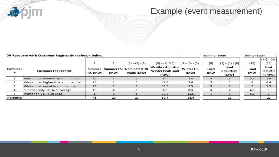

#### Example (event measurement)

| DR Resource with Customer Registrations shown below |                                     |                    |              |                                              |                                                            |                           | <b>Summer Event</b> |                                  | <b>Winter Event</b> |                            |
|-----------------------------------------------------|-------------------------------------|--------------------|--------------|----------------------------------------------|------------------------------------------------------------|---------------------------|---------------------|----------------------------------|---------------------|----------------------------|
|                                                     |                                     |                    |              |                                              |                                                            |                           |                     |                                  |                     | $(11) = (6)$               |
|                                                     |                                     | ட                  |              | $(3) = (1) - (2)$                            | $(6) = (4) * (5)$                                          | $7 = (6) - (3)$           | (8)                 | $(9) = (1) - (8)$                | (10)                | (10)                       |
| <b>Customer</b><br>#                                | <b>Customer Load Profile</b>        | Summer<br>PLC (MW) | (MW)         | <b>Summer FSL Nominated DR</b><br>Value (MW) | <b>Weather Adjusted</b><br><b>Winter Peak Load</b><br>(MW) | <b>Winter FSL</b><br>(MW) | Load<br>(MW         | Load<br><b>Reduction</b><br>(MW) | Load<br>(MW         | Load<br>Reductio<br>n (MW) |
|                                                     | Winter load lower than summer load  | 10 <sup>°</sup>    |              |                                              | 8.4                                                        | 3.4                       |                     |                                  | 5.5                 | 2.9                        |
| 2                                                   | Winter load higher than summer load | 10                 |              |                                              | 12.6                                                       | 7.6                       |                     |                                  | 6                   | 6.6                        |
| з                                                   | Winter load equal to summer load    | 10                 |              |                                              | 10.5                                                       | 5.5                       |                     |                                  |                     | 5.5                        |
| 4                                                   | Summer only DR (A/C Cycling)        | 10                 | 4            |                                              | 6.3                                                        | 0.3                       |                     |                                  | 6.3                 | 0                          |
| 5                                                   | Winter only DR (Ski Load)           |                    | $\mathbf{O}$ |                                              | 12.6                                                       | 11.6                      |                     | 0                                | 5.6                 |                            |
| <b>Resource</b>                                     |                                     | 41                 | 19           | 22                                           | 50.4                                                       | 28.4                      |                     | 22                               |                     | 22                         |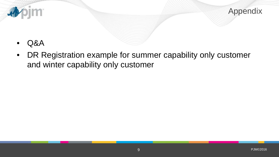

Appendix

- Q&A
- DR Registration example for summer capability only customer and winter capability only customer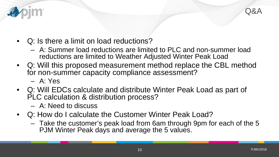

- Q: Is there a limit on load reductions?
	- A: Summer load reductions are limited to PLC and non-summer load reductions are limited to Weather Adjusted Winter Peak Load
- Q: Will this proposed measurement method replace the CBL method for non-summer capacity compliance assessment?
	- A: Yes
- Q: Will EDCs calculate and distribute Winter Peak Load as part of PLC calculation & distribution process?
	- A: Need to discuss
- Q: How do I calculate the Customer Winter Peak Load?
	- Take the customer's peak load from 6am through 9pm for each of the 5 PJM Winter Peak days and average the 5 values.